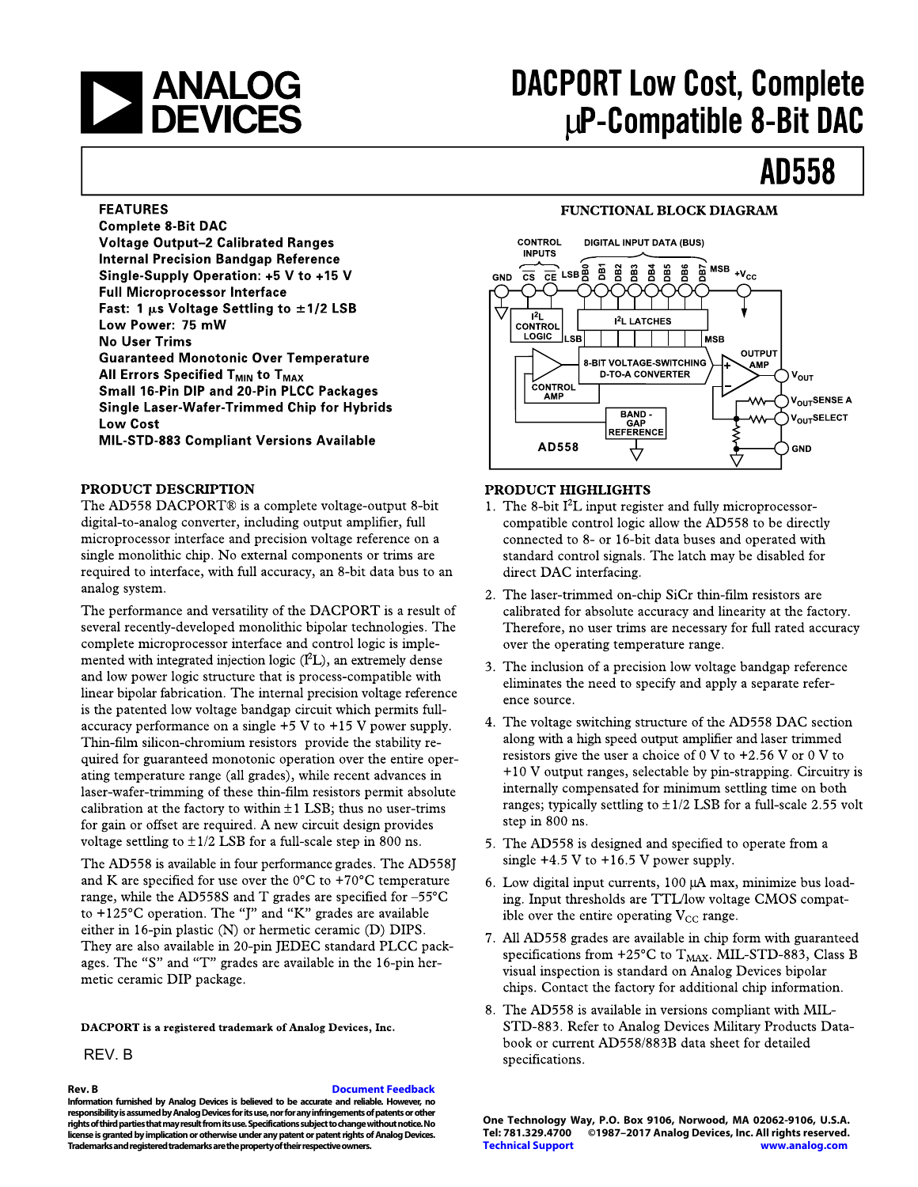

# **DACPORT Low Cost, Complete** LuP-Compatible 8-Bit DAC

# **AD558**

#### **FEATURES**

**Complete 8-Bit DAC Voltage Output-2 Calibrated Ranges Internal Precision Bandgap Reference** Single-Supply Operation: +5 V to +15 V **Full Microprocessor Interface** Fast: 1  $\mu$ s Voltage Settling to  $\pm$ 1/2 LSB Low Power: 75 mW **No User Trims Guaranteed Monotonic Over Temperature** All Errors Specified  $T_{MIN}$  to  $T_{MAX}$ Small 16-Pin DIP and 20-Pin PLCC Packages **Single Laser-Wafer-Trimmed Chip for Hybrids Low Cost MIL-STD-883 Compliant Versions Available** 

#### PRODUCT DESCRIPTION

The AD558 DACPORT® is a complete voltage-output 8-bit digital-to-analog converter, including output amplifier, full microprocessor interface and precision voltage reference on a single monolithic chip. No external components or trims are required to interface, with full accuracy, an 8-bit data bus to an analog system.

The performance and versatility of the DACPORT is a result of several recently-developed monolithic bipolar technologies. The complete microprocessor interface and control logic is implemented with integrated injection logic  $(I<sup>2</sup>L)$ , an extremely dense and low power logic structure that is process-compatible with linear bipolar fabrication. The internal precision voltage reference is the patented low voltage bandgap circuit which permits fullaccuracy performance on a single  $+5$  V to  $+15$  V power supply. Thin-film silicon-chromium resistors provide the stability required for guaranteed monotonic operation over the entire operating temperature range (all grades), while recent advances in laser-wafer-trimming of these thin-film resistors permit absolute calibration at the factory to within  $\pm 1$  LSB; thus no user-trims for gain or offset are required. A new circuit design provides voltage settling to  $\pm 1/2$  LSB for a full-scale step in 800 ns.

The AD558 is available in four performance grades. The AD558J and K are specified for use over the  $0^{\circ}$ C to +70°C temperature range, while the AD558S and T grades are specified for -55°C to +125 $\mathrm{^{\circ}C}$  operation. The "J" and "K" grades are available either in 16-pin plastic (N) or hermetic ceramic (D) DIPS. They are also available in 20-pin JEDEC standard PLCC packages. The "S" and "T" grades are available in the 16-pin hermetic ceramic DIP package.

DACPORT is a registered trademark of Analog Devices, Inc.

### REV. B

#### **Rev. B [Document Feedback](https://form.analog.com/Form_Pages/feedback/documentfeedback.aspx?doc=AD558.pdf&product=AD558&rev=B)**

**Information furnished by Analog Devices is believed to be accurate and reliable. However, no responsibility is assumed by Analog Devices for its use, nor for any infringements of patents or other rights of third parties that may result from its use. Specifications subject to change without notice. No license is granted by implication or otherwise under any patent or patent rights of Analog Devices. Trademarks and registered trademarks are the property of their respective owners.** 

#### **FUNCTIONAL BLOCK DIAGRAM**



#### **PRODUCT HIGHLIGHTS**

- 1. The 8-bit  $I^2L$  input register and fully microprocessorcompatible control logic allow the AD558 to be directly connected to 8- or 16-bit data buses and operated with standard control signals. The latch may be disabled for direct DAC interfacing.
- 2. The laser-trimmed on-chip SiCr thin-film resistors are calibrated for absolute accuracy and linearity at the factory. Therefore, no user trims are necessary for full rated accuracy over the operating temperature range.
- 3. The inclusion of a precision low voltage bandgap reference eliminates the need to specify and apply a separate reference source.
- 4. The voltage switching structure of the AD558 DAC section along with a high speed output amplifier and laser trimmed resistors give the user a choice of 0 V to  $+2.56$  V or 0 V to  $+10$  V output ranges, selectable by pin-strapping. Circuitry is internally compensated for minimum settling time on both ranges; typically settling to  $\pm 1/2$  LSB for a full-scale 2.55 volt step in 800 ns.
- 5. The AD558 is designed and specified to operate from a single  $+4.5$  V to  $+16.5$  V power supply.
- 6. Low digital input currents, 100 µA max, minimize bus loading. Input thresholds are TTL/low voltage CMOS compatible over the entire operating  $V_{CC}$  range.
- 7. All AD558 grades are available in chip form with guaranteed specifications from +25°C to T<sub>MAX</sub>. MIL-STD-883, Class B visual inspection is standard on Analog Devices bipolar chips. Contact the factory for additional chip information.
- 8. The AD558 is available in versions compliant with MIL-STD-883. Refer to Analog Devices Military Products Databook or current AD558/883B data sheet for detailed specifications.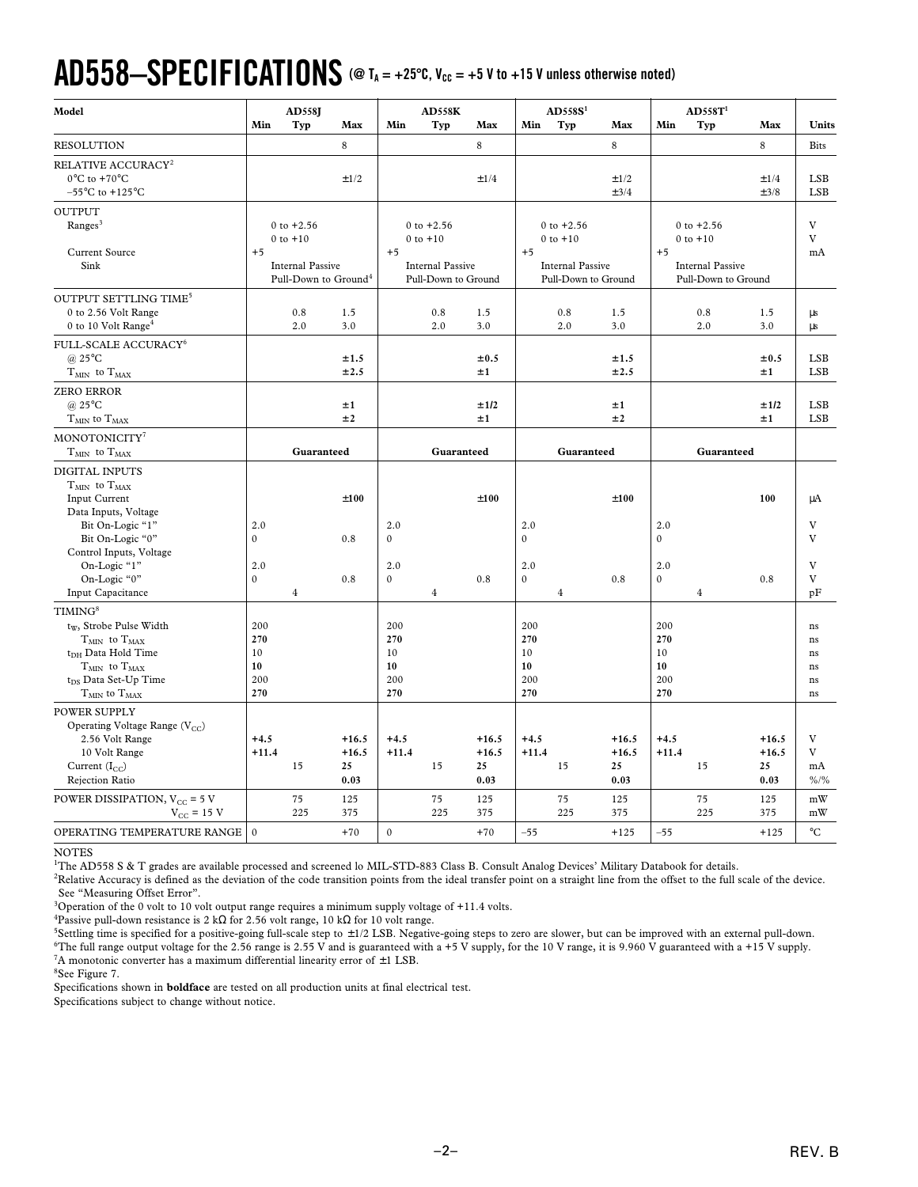# $AD558-SPECIFICATIONS$  (@ T<sub>A</sub> = +25°C, V<sub>CC</sub> = +5 V to +15 V unless otherwise noted)

| Model                                                                                                                                                                                                                    | Min                                        | <b>AD558J</b><br>Typ                                                                          | Max                              | Min                                                | AD558K<br>Typ                                                                    | Max                              | Min                                        | AD558S <sup>1</sup><br>Typ                                                       | Max                              | Min                                    | AD558T <sup>1</sup><br>Typ                                                       | Max                              | Units                                  |
|--------------------------------------------------------------------------------------------------------------------------------------------------------------------------------------------------------------------------|--------------------------------------------|-----------------------------------------------------------------------------------------------|----------------------------------|----------------------------------------------------|----------------------------------------------------------------------------------|----------------------------------|--------------------------------------------|----------------------------------------------------------------------------------|----------------------------------|----------------------------------------|----------------------------------------------------------------------------------|----------------------------------|----------------------------------------|
| <b>RESOLUTION</b>                                                                                                                                                                                                        |                                            |                                                                                               | 8                                |                                                    |                                                                                  | 8                                |                                            |                                                                                  | 8                                |                                        |                                                                                  | 8                                | <b>Bits</b>                            |
| RELATIVE ACCURACY <sup>2</sup><br>$0^{\circ}$ C to +70 $^{\circ}$ C<br>$-55^{\circ}$ C to +125 $^{\circ}$ C                                                                                                              |                                            |                                                                                               | ±1/2                             |                                                    |                                                                                  | ±1/4                             |                                            |                                                                                  | ±1/2<br>±3/4                     |                                        |                                                                                  | ±1/4<br>±3/8                     | <b>LSB</b><br><b>LSB</b>               |
| <b>OUTPUT</b><br>Ranges <sup>3</sup><br><b>Current Source</b><br>Sink                                                                                                                                                    | $+5$                                       | $0$ to $+2.56$<br>$0$ to $+10$<br><b>Internal Passive</b><br>Pull-Down to Ground <sup>4</sup> |                                  | $+5$                                               | $0$ to $+2.56$<br>$0$ to $+10$<br><b>Internal Passive</b><br>Pull-Down to Ground |                                  | $+5$                                       | $0$ to $+2.56$<br>$0$ to $+10$<br><b>Internal Passive</b><br>Pull-Down to Ground |                                  | $+5$                                   | $0$ to $+2.56$<br>$0$ to $+10$<br><b>Internal Passive</b><br>Pull-Down to Ground |                                  | V<br>V<br>mA                           |
| OUTPUT SETTLING TIME <sup>5</sup><br>0 to 2.56 Volt Range<br>0 to 10 Volt Range <sup>4</sup>                                                                                                                             |                                            | $0.8\,$<br>2.0                                                                                | 1.5<br>3.0                       |                                                    | 0.8<br>2.0                                                                       | 1.5<br>3.0                       |                                            | 0.8<br>2.0                                                                       | 1.5<br>3.0                       |                                        | 0.8<br>2.0                                                                       | 1.5<br>3.0                       | μs<br>μs                               |
| FULL-SCALE ACCURACY <sup>6</sup><br>@ $25^{\circ}$ C<br>$T_{MIN}$ to $T_{MAX}$                                                                                                                                           |                                            |                                                                                               | ±1.5<br>±2.5                     |                                                    |                                                                                  | ±0.5<br>±1                       |                                            |                                                                                  | ±1.5<br>±2.5                     |                                        |                                                                                  | ±0.5<br>±1                       | <b>LSB</b><br>LSB                      |
| <b>ZERO ERROR</b><br>$(a)$ 25 $\mathrm{^{\circ}C}$<br>$T_{MIN}$ to $T_{MAX}$                                                                                                                                             |                                            |                                                                                               | ±1<br>±2                         |                                                    |                                                                                  | ±1/2<br>±1                       |                                            |                                                                                  | ±1<br>±2                         |                                        |                                                                                  | ±1/2<br>±1                       | <b>LSB</b><br><b>LSB</b>               |
| MONOTONICITY <sup>7</sup>                                                                                                                                                                                                |                                            |                                                                                               |                                  |                                                    |                                                                                  |                                  |                                            |                                                                                  |                                  |                                        |                                                                                  |                                  |                                        |
| $T_{MIN}$ to $T_{MAX}$                                                                                                                                                                                                   |                                            | Guaranteed                                                                                    |                                  |                                                    | Guaranteed                                                                       |                                  |                                            | Guaranteed                                                                       |                                  |                                        | Guaranteed                                                                       |                                  |                                        |
| <b>DIGITAL INPUTS</b><br>$\rm T_{MIN}$ to $\rm T_{MAX}$<br>Input Current<br>Data Inputs, Voltage<br>Bit On-Logic "1"<br>Bit On-Logic "0"<br>Control Inputs, Voltage<br>On-Logic "1"<br>On-Logic "0"<br>Input Capacitance | 2.0<br>$\mathbf{0}$<br>2.0<br>$\mathbf{0}$ | $\overline{4}$                                                                                | ±100<br>0.8<br>0.8               | 2.0<br>$\boldsymbol{0}$<br>2.0<br>$\boldsymbol{0}$ | $\overline{4}$                                                                   | ±100<br>0.8                      | 2.0<br>$\mathbf{0}$<br>2.0<br>$\mathbf{0}$ | $\overline{4}$                                                                   | ±100<br>0.8                      | 2.0<br>$\Omega$<br>2.0<br>$\mathbf{0}$ | $\overline{4}$                                                                   | 100<br>0.8                       | μA<br>V<br>V<br>V<br>V<br>pF           |
| TIMING <sup>8</sup><br>tw, Strobe Pulse Width<br>$T_{MIN}$ to $T_{MAX}$<br>t <sub>DH</sub> Data Hold Time<br>$T_{MIN}$ to $T_{MAX}$<br>t <sub>DS</sub> Data Set-Up Time<br>$T_{MIN}$ to $T_{MAX}$                        | 200<br>270<br>10<br>10<br>200<br>270       |                                                                                               |                                  | 200<br>270<br>10<br>10<br>200<br>270               |                                                                                  |                                  | 200<br>270<br>10<br>10<br>200<br>270       |                                                                                  |                                  | 200<br>270<br>10<br>10<br>200<br>270   |                                                                                  |                                  | ns<br>$\rm ns$<br>ns<br>ns<br>ns<br>ns |
| <b>POWER SUPPLY</b><br>Operating Voltage Range (V <sub>CC</sub> )<br>2.56 Volt Range<br>10 Volt Range<br>Current $(I_{CC})$<br>Rejection Ratio                                                                           | $+4.5$<br>$+11.4$                          | 15                                                                                            | $+16.5$<br>$+16.5$<br>25<br>0.03 | $+4.5$<br>$+11.4$                                  | 15                                                                               | $+16.5$<br>$+16.5$<br>25<br>0.03 | $+4.5$<br>$+11.4$                          | 15                                                                               | $+16.5$<br>$+16.5$<br>25<br>0.03 | $+4.5$<br>$+11.4$                      | 15                                                                               | $+16.5$<br>$+16.5$<br>25<br>0.03 | $\rm V$<br>V<br>mA<br>$\frac{9}{6}$ /% |
| POWER DISSIPATION, $V_{CC}$ = 5 V<br>$V_{\text{CC}} = 15$ V<br>OPERATING TEMPERATURE RANGE                                                                                                                               | $\Omega$                                   | 75<br>225                                                                                     | 125<br>375<br>$+70$              | $\boldsymbol{0}$                                   | 75<br>225                                                                        | 125<br>375<br>$+70$              | $-55$                                      | 75<br>225                                                                        | 125<br>375<br>$+125$             | $-55$                                  | 75<br>225                                                                        | 125<br>375<br>$+125$             | mW<br>mW<br>$^{\circ}C$                |
|                                                                                                                                                                                                                          |                                            |                                                                                               |                                  |                                                    |                                                                                  |                                  |                                            |                                                                                  |                                  |                                        |                                                                                  |                                  |                                        |

#### NOTES

<sup>1</sup>The AD558 S & T grades are available processed and screened lo MIL-STD-883 Class B. Consult Analog Devices' Military Databook for details.

<sup>2</sup>Relative Accuracy is defined as the deviation of the code transition points from the ideal transfer point on a straight line from the offset to the full scale of the device. See "Measuring Offset Error".

<sup>3</sup>Operation of the 0 volt to 10 volt output range requires a minimum supply voltage of +11.4 volts.

<sup>4</sup>Passive pull-down resistance is 2 kΩ for 2.56 volt range, 10 kΩ for 10 volt range.

5 Settling time is specified for a positive-going full-scale step to ± 1/2 LSB. Negative-going steps to zero are slower, but can be improved with an external pull-down. <sup>6</sup>The full range output voltage for the 2.56 range is 2.55 V and is guaranteed with a +5 V supply, for the 10 V range, it is 9.960 V guaranteed with a +15 V supply. <sup>7</sup>A monotonic converter has a maximum differential linearity error of  $\pm 1$  LSB.

8 See Figure 7.

Specifications shown in **boldface** are tested on all production units at final electrical test.

Specifications subject to change without notice.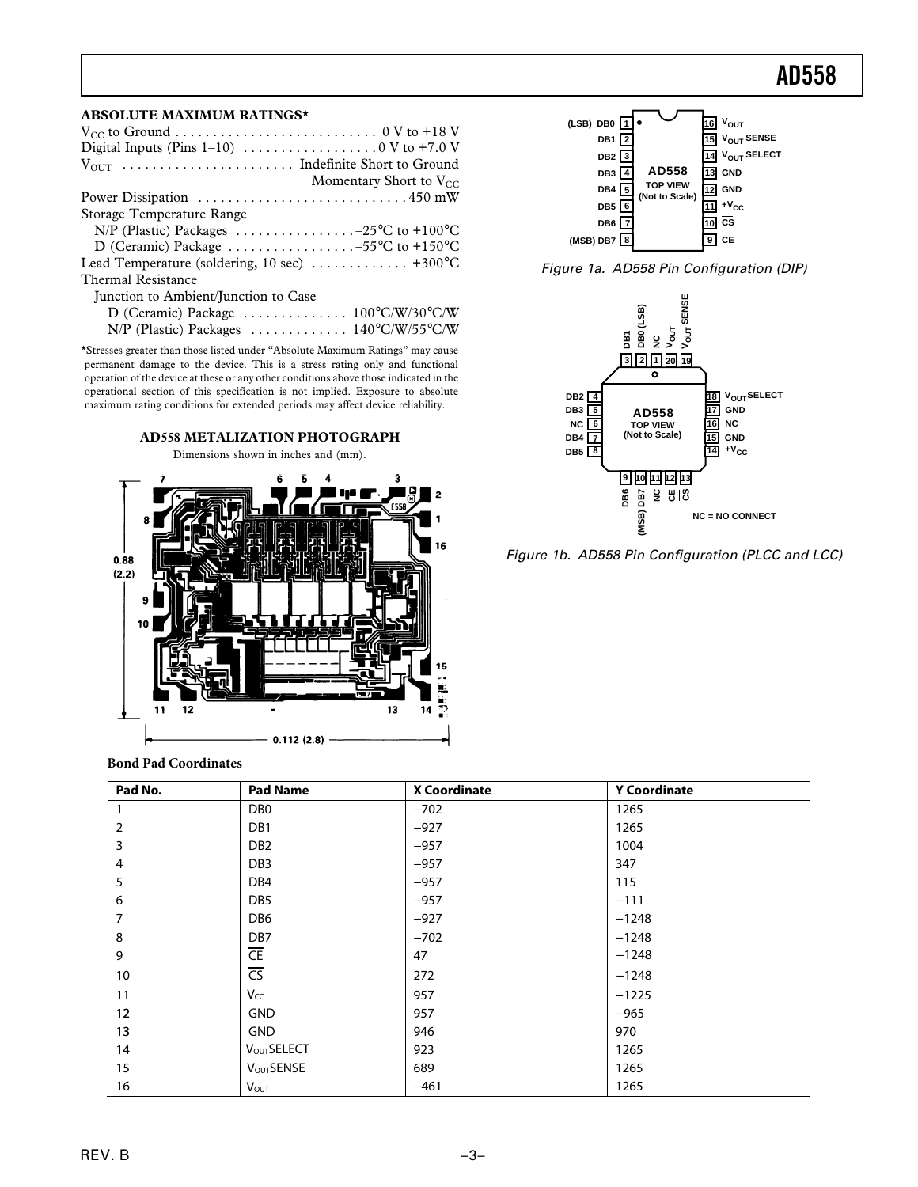#### **ABSOLUTE MAXIMUM RATINGS\***

| Momentary Short to $V_{CC}$                                                           |
|---------------------------------------------------------------------------------------|
|                                                                                       |
| Storage Temperature Range                                                             |
| N/P (Plastic) Packages $\ldots \ldots \ldots \ldots -25$ °C to +100°C                 |
| D (Ceramic) Package 55°C to +150°C                                                    |
| Lead Temperature (soldering, 10 sec) $\dots \dots \dots \dots +300^{\circ}C$          |
| <b>Thermal Resistance</b>                                                             |
| Junction to Ambient/Junction to Case                                                  |
| D (Ceramic) Package $\ldots \ldots \ldots \ldots \ldots 100^{\circ}C/W/30^{\circ}C/W$ |
| N/P (Plastic) Packages  140°C/W/55°C/W                                                |

\*Stresses greater than those listed under "Absolute Maximum Ratings" may cause permanent damage to the device. This is a stress rating only and functional operation of the device at these or any other conditions above those indicated in the operational section of this specification is not implied. Exposure to absolute maximum rating conditions for extended periods may affect device reliability.



**Bond Pad Coordinates**

| Pad No.        | <b>Pad Name</b>          | <b>X Coordinate</b> | <b>Y Coordinate</b> |
|----------------|--------------------------|---------------------|---------------------|
|                | D <sub>B</sub> 0         | $-702$              | 1265                |
| $\overline{2}$ | DB1                      | $-927$              | 1265                |
| 3              | DB <sub>2</sub>          | $-957$              | 1004                |
| 4              | DB <sub>3</sub>          | $-957$              | 347                 |
| 5              | DB4                      | $-957$              | 115                 |
| 6              | DB <sub>5</sub>          | $-957$              | $-111$              |
| 7              | DB <sub>6</sub>          | $-927$              | $-1248$             |
| 8              | DB7                      | $-702$              | $-1248$             |
| 9              | $\overline{\mathsf{CE}}$ | 47                  | $-1248$             |
| 10             | $\overline{\text{CS}}$   | 272                 | $-1248$             |
| 11             | Vcc                      | 957                 | $-1225$             |
| 12             | <b>GND</b>               | 957                 | $-965$              |
| 13             | <b>GND</b>               | 946                 | 970                 |
| 14             | <b>VOUTSELECT</b>        | 923                 | 1265                |
| 15             | <b>VOUTSENSE</b>         | 689                 | 1265                |
| 16             | <b>Vout</b>              | $-461$              | 1265                |







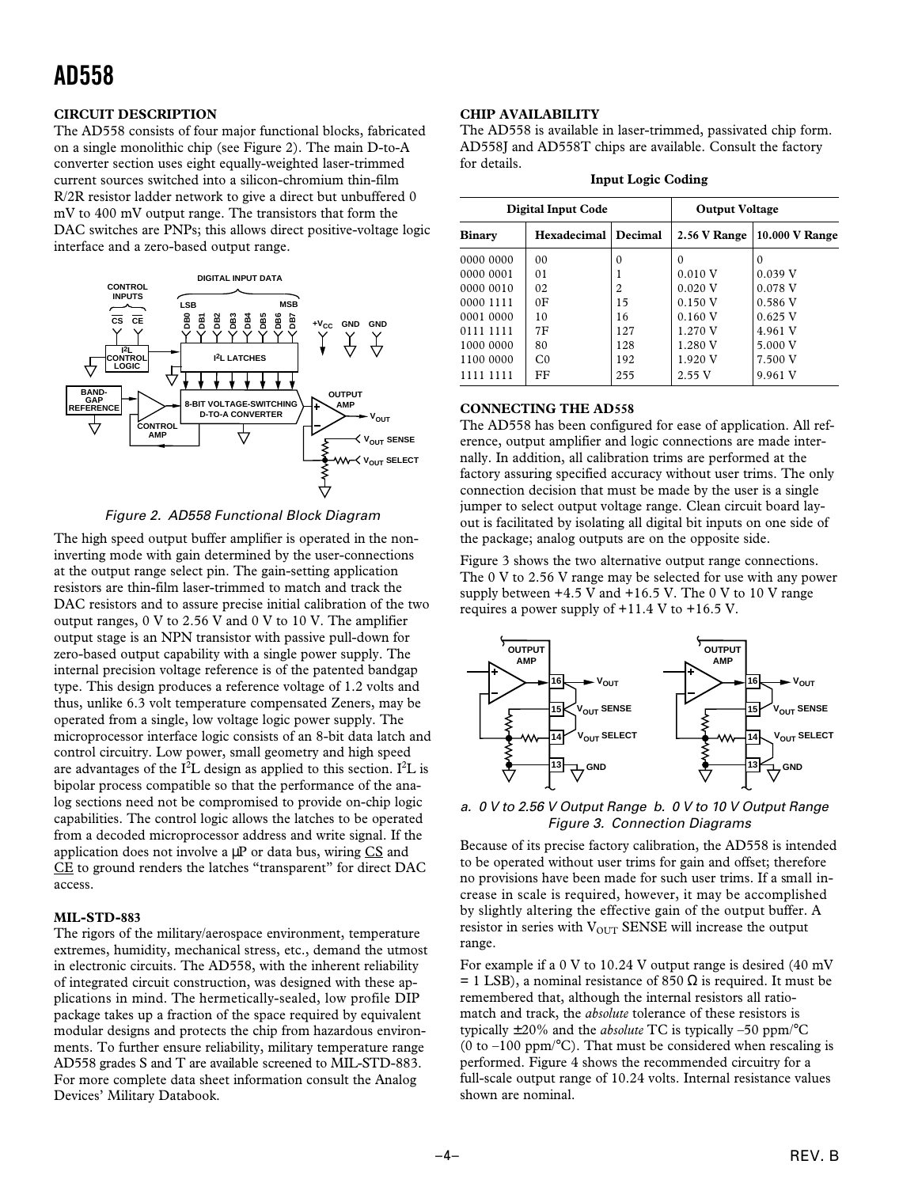#### **CIRCUIT DESCRIPTION**

The AD558 consists of four major functional blocks, fabricated on a single monolithic chip (see Figure 2). The main D-to-A converter section uses eight equally-weighted laser-trimmed current sources switched into a silicon-chromium thin-film R/2R resistor ladder network to give a direct but unbuffered 0 mV to 400 mV output range. The transistors that form the DAC switches are PNPs; this allows direct positive-voltage logic interface and a zero-based output range.



#### Figure 2. AD558 Functional Block Diagram

The high speed output buffer amplifier is operated in the noninverting mode with gain determined by the user-connections at the output range select pin. The gain-setting application resistors are thin-film laser-trimmed to match and track the DAC resistors and to assure precise initial calibration of the two output ranges, 0 V to 2.56 V and 0 V to 10 V. The amplifier output stage is an NPN transistor with passive pull-down for zero-based output capability with a single power supply. The internal precision voltage reference is of the patented bandgap type. This design produces a reference voltage of 1.2 volts and thus, unlike 6.3 volt temperature compensated Zeners, may be operated from a single, low voltage logic power supply. The microprocessor interface logic consists of an 8-bit data latch and control circuitry. Low power, small geometry and high speed are advantages of the  $I^2L$  design as applied to this section. I<sup>2</sup>L is bipolar process compatible so that the performance of the analog sections need not be compromised to provide on-chip logic capabilities. The control logic allows the latches to be operated from a decoded microprocessor address and write signal. If the application does not involve a  $\mu$ P or data bus, wiring CS and CE to ground renders the latches "transparent" for direct DAC access.

#### **MIL-STD-883**

The rigors of the military/aerospace environment, temperature extremes, humidity, mechanical stress, etc., demand the utmost in electronic circuits. The AD558, with the inherent reliability of integrated circuit construction, was designed with these applications in mind. The hermetically-sealed, low profile DIP package takes up a fraction of the space required by equivalent modular designs and protects the chip from hazardous environments. To further ensure reliability, military temperature range AD558 grades S and T are available screened to MIL-STD-883. For more complete data sheet information consult the Analog Devices' Military Databook.

#### **CHIP AVAILABILITY**

The AD558 is available in laser-trimmed, passivated chip form. AD558J and AD558T chips are available. Consult the factory for details.

|               | <b>Digital Input Code</b> | <b>Output Voltage</b> |              |                |
|---------------|---------------------------|-----------------------|--------------|----------------|
| <b>Binary</b> | Hexadecimal               | Decimal               | 2.56 V Range | 10.000 V Range |
| 0000 0000     | 0 <sup>0</sup>            | 0                     | 0            | $\Omega$       |
| 0000 0001     | 01                        |                       | 0.010 V      | 0.039 V        |
| 0000 0010     | 02                        | 2                     | 0.020 V      | 0.078 V        |
| 0000 1111     | 0 <sub>F</sub>            | 15                    | 0.150V       | 0.586V         |
| 0001 0000     | 10                        | 16                    | 0.160V       | $0.625$ V      |
| 0111 1111     | 7F                        | 127                   | 1.270 V      | 4.961 V        |
| 1000 0000     | 80                        | 128                   | 1.280 V      | 5.000 V        |
| 1100 0000     | C <sub>0</sub>            | 192                   | 1.920V       | 7.500 V        |
| 1111 1111     | FF                        | 255                   | 2.55V        | 9.961 V        |

#### **Input Logic Coding**

#### **CONNECTING THE AD558**

The AD558 has been configured for ease of application. All reference, output amplifier and logic connections are made internally. In addition, all calibration trims are performed at the factory assuring specified accuracy without user trims. The only connection decision that must be made by the user is a single jumper to select output voltage range. Clean circuit board layout is facilitated by isolating all digital bit inputs on one side of the package; analog outputs are on the opposite side.

Figure 3 shows the two alternative output range connections. The 0 V to 2.56 V range may be selected for use with any power supply between  $+4.5$  V and  $+16.5$  V. The 0 V to 10 V range requires a power supply of +11.4 V to +16.5 V.



#### a. 0 V to 2.56 V Output Range b. 0 V to 10 V Output Range Figure 3. Connection Diagrams

Because of its precise factory calibration, the AD558 is intended to be operated without user trims for gain and offset; therefore no provisions have been made for such user trims. If a small increase in scale is required, however, it may be accomplished by slightly altering the effective gain of the output buffer. A resistor in series with  $V_{OUT}$  SENSE will increase the output range.

For example if a 0 V to 10.24 V output range is desired (40 mV = 1 LSB), a nominal resistance of 850  $\Omega$  is required. It must be remembered that, although the internal resistors all ratiomatch and track, the *absolute* tolerance of these resistors is typically ±20% and the *absolute* TC is typically –50 ppm/°C (0 to  $-100$  ppm/°C). That must be considered when rescaling is performed. Figure 4 shows the recommended circuitry for a full-scale output range of 10.24 volts. Internal resistance values shown are nominal.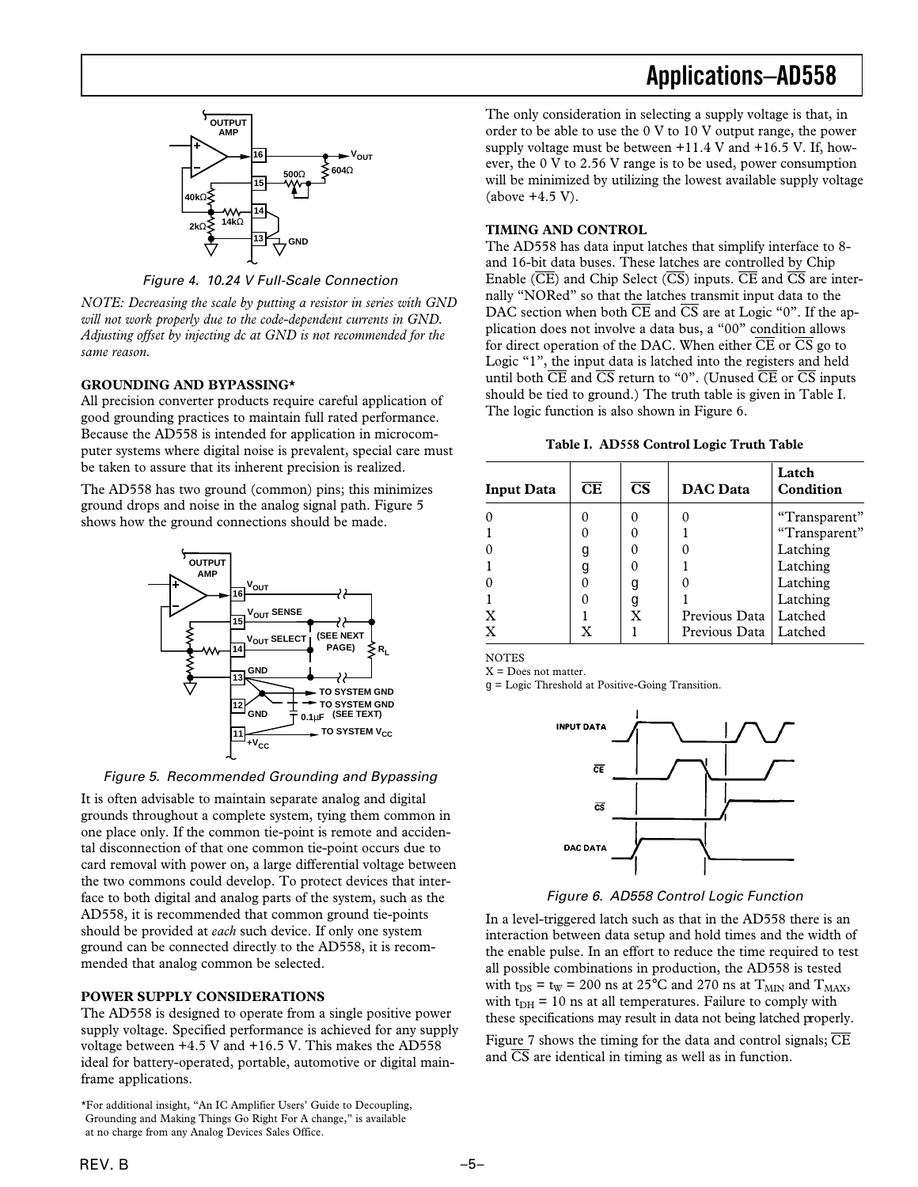

Figure 4. 10.24 V Full-Scale Connection

*NOTE: Decreasing the scale by putting a resistor in series with GND will not work properly due to the code-dependent currents in GND. Adjusting offset by injecting dc at GND is not recommended for the same reason.*

#### **GROUNDING AND BYPASSING\***

All precision converter products require careful application of good grounding practices to maintain full rated performance. Because the AD558 is intended for application in microcomputer systems where digital noise is prevalent, special care must be taken to assure that its inherent precision is realized.

The AD558 has two ground (common) pins; this minimizes ground drops and noise in the analog signal path. Figure 5 shows how the ground connections should be made.



Figure 5. Recommended Grounding and Bypassing

It is often advisable to maintain separate analog and digital grounds throughout a complete system, tying them common in one place only. If the common tie-point is remote and accidental disconnection of that one common tie-point occurs due to card removal with power on, a large differential voltage between the two commons could develop. To protect devices that interface to both digital and analog parts of the system, such as the AD558, it is recommended that common ground tie-points should be provided at *each* such device. If only one system ground can be connected directly to the AD558, it is recommended that analog common be selected.

#### **POWER SUPPLY CONSIDERATIONS**

The AD558 is designed to operate from a single positive power supply voltage. Specified performance is achieved for any supply voltage between +4.5 V and +16.5 V. This makes the AD558 ideal for battery-operated, portable, automotive or digital mainframe applications.

### **Applications–AD558**

The only consideration in selecting a supply voltage is that, in order to be able to use the 0 V to 10 V output range, the power supply voltage must be between  $+11.4$  V and  $+16.5$  V. If, however, the 0 V to 2.56 V range is to be used, power consumption will be minimized by utilizing the lowest available supply voltage (above +4.5 V).

#### **TIMING AND CONTROL**

The AD558 has data input latches that simplify interface to 8 and 16-bit data buses. These latches are controlled by Chip Enable ( $\overline{CE}$ ) and Chip Select ( $\overline{CS}$ ) inputs.  $\overline{CE}$  and  $\overline{CS}$  are internally "NORed" so that the latches transmit input data to the DAC section when both  $\overline{\text{CE}}$  and  $\overline{\text{CS}}$  are at Logic "0". If the application does not involve a data bus, a "00" condition allows for direct operation of the DAC. When either  $\overline{\text{CE}}$  or  $\overline{\text{CS}}$  go to Logic "1", the input data is latched into the registers and held until both  $\overline{\text{CE}}$  and  $\overline{\text{CS}}$  return to "0". (Unused  $\overline{\text{CE}}$  or  $\overline{\text{CS}}$  inputs should be tied to ground.) The truth table is given in Table I. The logic function is also shown in Figure 6.

| <b>Input Data</b> | CE | $\overline{\text{CS}}$ | <b>DAC</b> Data         | Latch<br>Condition |
|-------------------|----|------------------------|-------------------------|--------------------|
|                   |    |                        |                         | "Transparent"      |
|                   |    |                        |                         | "Transparent"      |
|                   | g  |                        |                         | Latching           |
|                   | g  |                        |                         | Latching           |
|                   |    | q                      |                         | Latching           |
|                   |    | g                      |                         | Latching           |
| X                 |    | X                      | Previous Data           | Latched            |
| $\mathbf{x}$      | X  |                        | Previous Data   Latched |                    |

**NOTES**  $X =$  Does not matter.

g = Logic Threshold at Positive-Going Transition.



Figure 6. AD558 Control Logic Function

In a level-triggered latch such as that in the AD558 there is an interaction between data setup and hold times and the width of the enable pulse. In an effort to reduce the time required to test all possible combinations in production, the AD558 is tested with t<sub>DS</sub> = t<sub>W</sub> = 200 ns at 25°C and 270 ns at T<sub>MIN</sub> and T<sub>MAX</sub>, with  $t_{DH}$  = 10 ns at all temperatures. Failure to comply with these specifications may result in data not being latched properly.

Figure 7 shows the timing for the data and control signals;  $\overline{\text{CE}}$ and  $\overline{CS}$  are identical in timing as well as in function.

<sup>\*</sup>For additional insight, "An IC Amplifier Users' Guide to Decoupling, Grounding and Making Things Go Right For A change," is available at no charge from any Analog Devices Sales Office.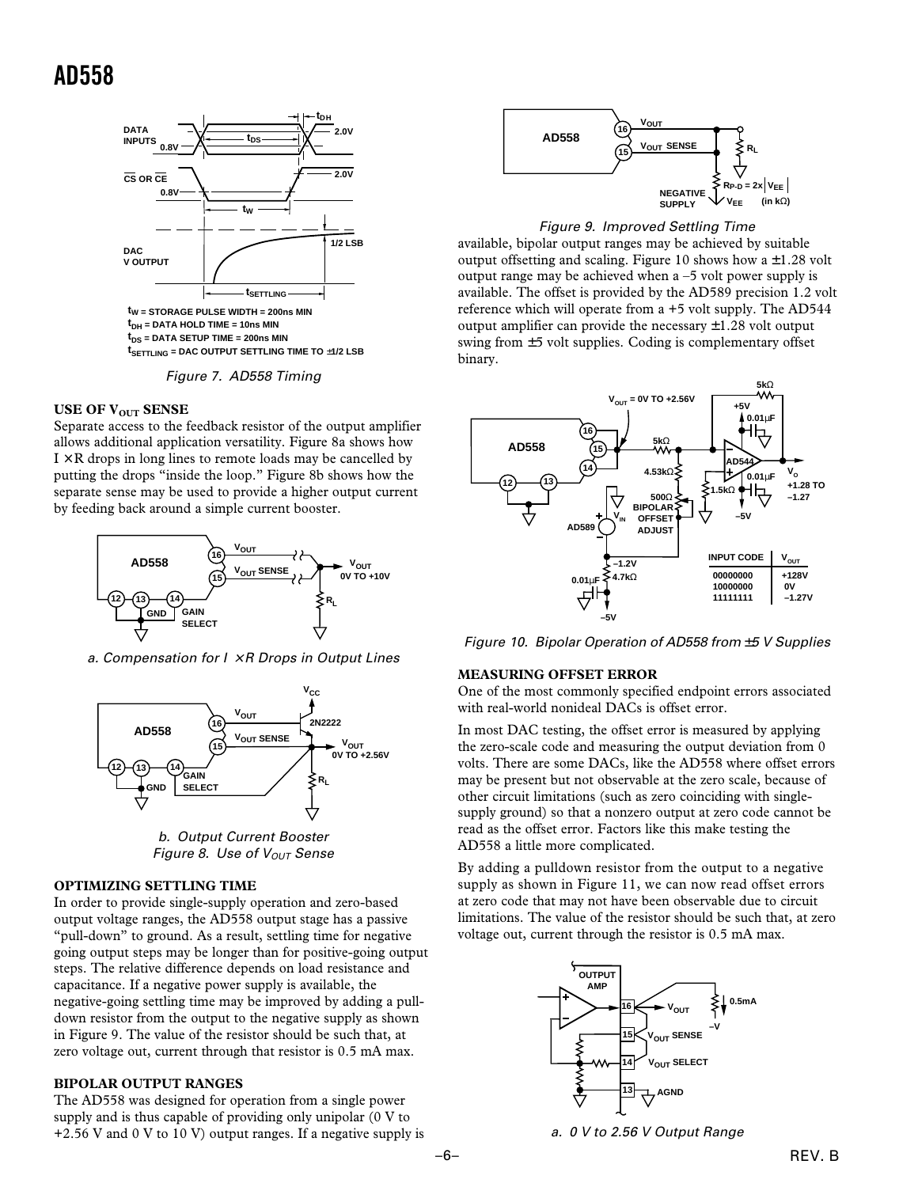



#### **USE OF V<sub>OUT</sub> SENSE**

Separate access to the feedback resistor of the output amplifier allows additional application versatility. Figure 8a shows how  $I \times R$  drops in long lines to remote loads may be cancelled by putting the drops "inside the loop." Figure 8b shows how the separate sense may be used to provide a higher output current by feeding back around a simple current booster.



a. Compensation for  $I \times R$  Drops in Output Lines



b. Output Current Booster Figure 8. Use of  $V_{OUT}$  Sense

#### **OPTIMIZING SETTLING TIME**

In order to provide single-supply operation and zero-based output voltage ranges, the AD558 output stage has a passive "pull-down" to ground. As a result, settling time for negative going output steps may be longer than for positive-going output steps. The relative difference depends on load resistance and capacitance. If a negative power supply is available, the negative-going settling time may be improved by adding a pulldown resistor from the output to the negative supply as shown in Figure 9. The value of the resistor should be such that, at zero voltage out, current through that resistor is 0.5 mA max.

#### **BIPOLAR OUTPUT RANGES**

The AD558 was designed for operation from a single power supply and is thus capable of providing only unipolar (0 V to  $+2.56$  V and 0 V to 10 V) output ranges. If a negative supply is





available, bipolar output ranges may be achieved by suitable output offsetting and scaling. Figure 10 shows how a  $\pm 1.28$  volt output range may be achieved when a –5 volt power supply is available. The offset is provided by the AD589 precision 1.2 volt reference which will operate from a +5 volt supply. The AD544 output amplifier can provide the necessary  $\pm 1.28$  volt output swing from ±5 volt supplies. Coding is complementary offset binary.



Figure 10. Bipolar Operation of AD558 from  $±5$  V Supplies

#### **MEASURING OFFSET ERROR**

One of the most commonly specified endpoint errors associated with real-world nonideal DACs is offset error.

In most DAC testing, the offset error is measured by applying the zero-scale code and measuring the output deviation from 0 volts. There are some DACs, like the AD558 where offset errors may be present but not observable at the zero scale, because of other circuit limitations (such as zero coinciding with singlesupply ground) so that a nonzero output at zero code cannot be read as the offset error. Factors like this make testing the AD558 a little more complicated.

By adding a pulldown resistor from the output to a negative supply as shown in Figure 11, we can now read offset errors at zero code that may not have been observable due to circuit limitations. The value of the resistor should be such that, at zero voltage out, current through the resistor is 0.5 mA max.



a. 0 V to 2.56 V Output Range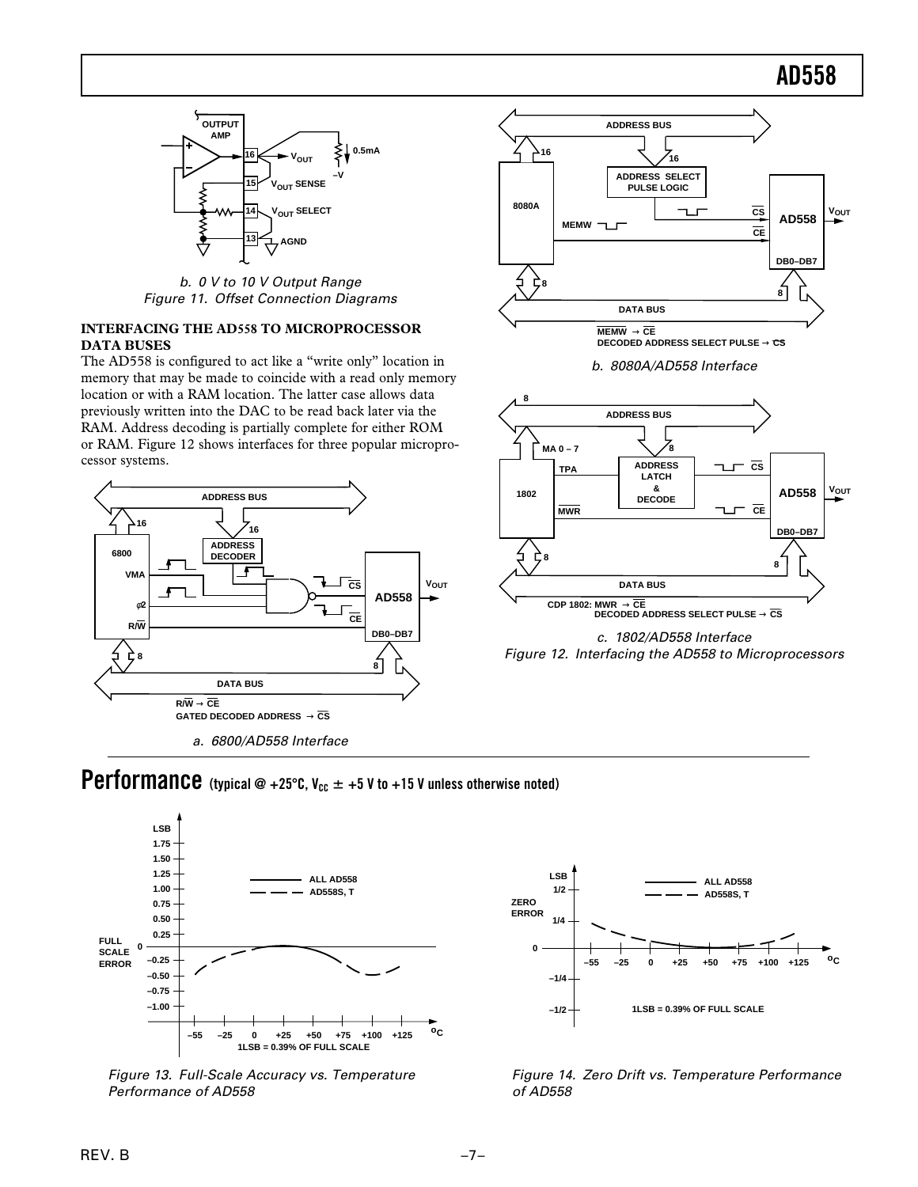

b. 0 V to 10 V Output Range Figure 11. Offset Connection Diagrams

#### **INTERFACING THE AD558 TO MICROPROCESSOR DATA BUSES**

The AD558 is configured to act like a "write only" location in memory that may be made to coincide with a read only memory location or with a RAM location. The latter case allows data previously written into the DAC to be read back later via the RAM. Address decoding is partially complete for either ROM or RAM. Figure 12 shows interfaces for three popular microprocessor systems.





b. 8080A/AD558 Interface





## Performance (typical @ +25°C,  $V_{cc}$   $\pm$  +5 V to +15 V unless otherwise noted)



 Figure 13. Full-Scale Accuracy vs. Temperature Performance of AD558



Figure 14. Zero Drift vs. Temperature Performance of AD558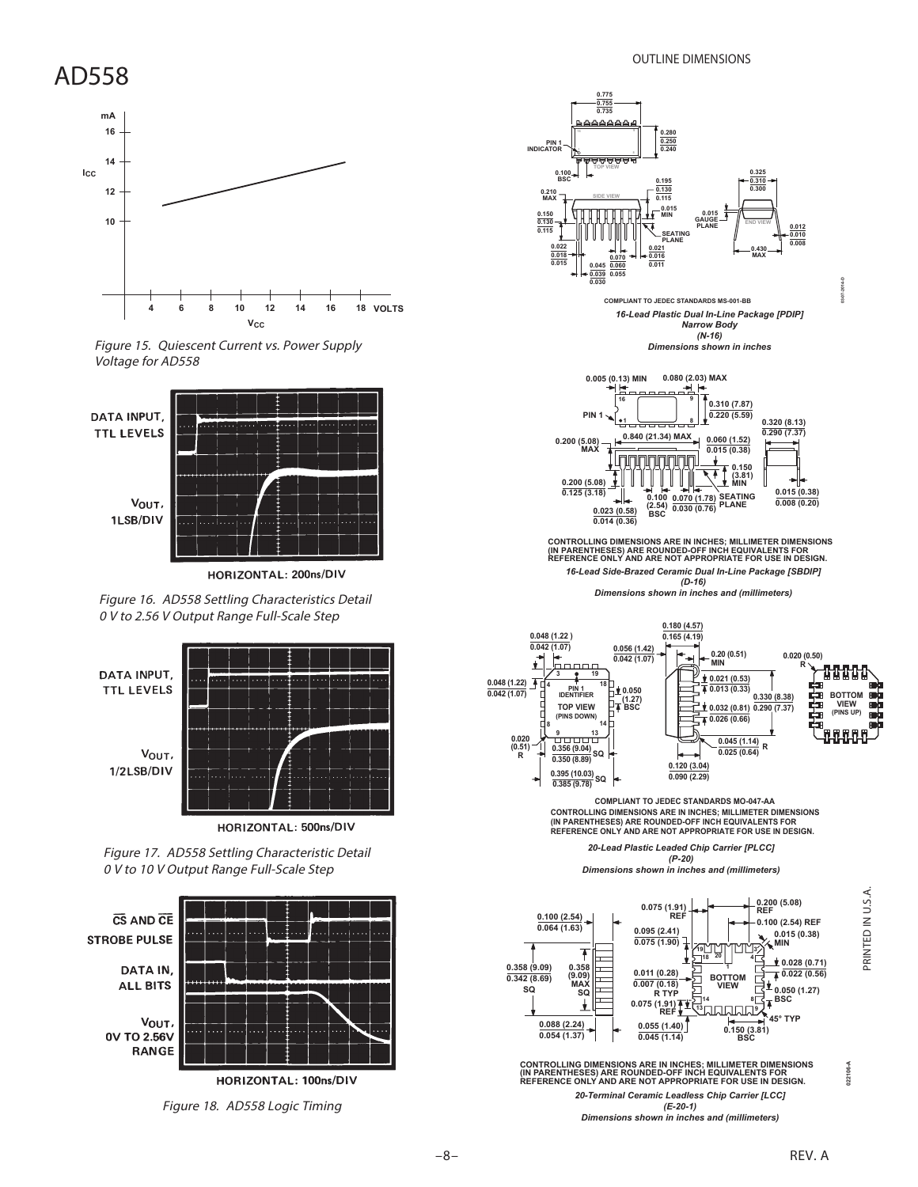

Figure 15. Quiescent Current vs. Power Supply Voltage for AD558



HORIZONTAL: 200ns/DIV

Figure 16. AD558 Settling Characteristics Detail 0 V to 2.56 V Output Range Full-Scale Step



HORIZONTAL: 500ns/DIV

Figure 17. AD558 Settling Characteristic Detail 0 V to 10 V Output Range Full-Scale Step



Figure 18. AD558 Logic Timing